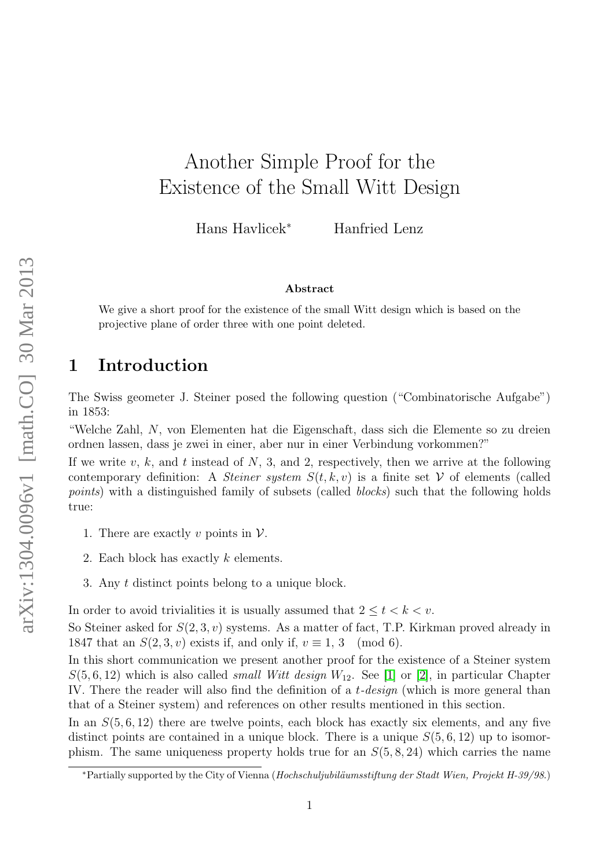# Another Simple Proof for the Existence of the Small Witt Design

Hans Havlicek<sup>∗</sup> Hanfried Lenz

#### Abstract

We give a short proof for the existence of the small Witt design which is based on the projective plane of order three with one point deleted.

# 1 Introduction

The Swiss geometer J. Steiner posed the following question ("Combinatorische Aufgabe") in 1853:

"Welche Zahl, N, von Elementen hat die Eigenschaft, dass sich die Elemente so zu dreien ordnen lassen, dass je zwei in einer, aber nur in einer Verbindung vorkommen?"

If we write v, k, and t instead of  $N$ , 3, and 2, respectively, then we arrive at the following contemporary definition: A *Steiner system*  $S(t, k, v)$  is a finite set V of elements (called points) with a distinguished family of subsets (called *blocks*) such that the following holds true:

- 1. There are exactly v points in  $\mathcal V$ .
- 2. Each block has exactly k elements.
- 3. Any t distinct points belong to a unique block.

In order to avoid trivialities it is usually assumed that  $2 \le t < k < v$ .

So Steiner asked for  $S(2,3, v)$  systems. As a matter of fact, T.P. Kirkman proved already in 1847 that an  $S(2,3, v)$  exists if, and only if,  $v \equiv 1, 3 \pmod{6}$ .

In this short communication we present another proof for the existence of a Steiner system  $S(5,6,12)$  which is also called *small Witt design*  $W_{12}$ . See [\[1\]](#page-4-0) or [\[2\]](#page-4-1), in particular Chapter IV. There the reader will also find the definition of a t-design (which is more general than that of a Steiner system) and references on other results mentioned in this section.

In an  $S(5, 6, 12)$  there are twelve points, each block has exactly six elements, and any five distinct points are contained in a unique block. There is a unique  $S(5, 6, 12)$  up to isomorphism. The same uniqueness property holds true for an  $S(5, 8, 24)$  which carries the name

<sup>∗</sup>Partially supported by the City of Vienna (Hochschuljubil¨aumsstiftung der Stadt Wien, Projekt H-39/98.)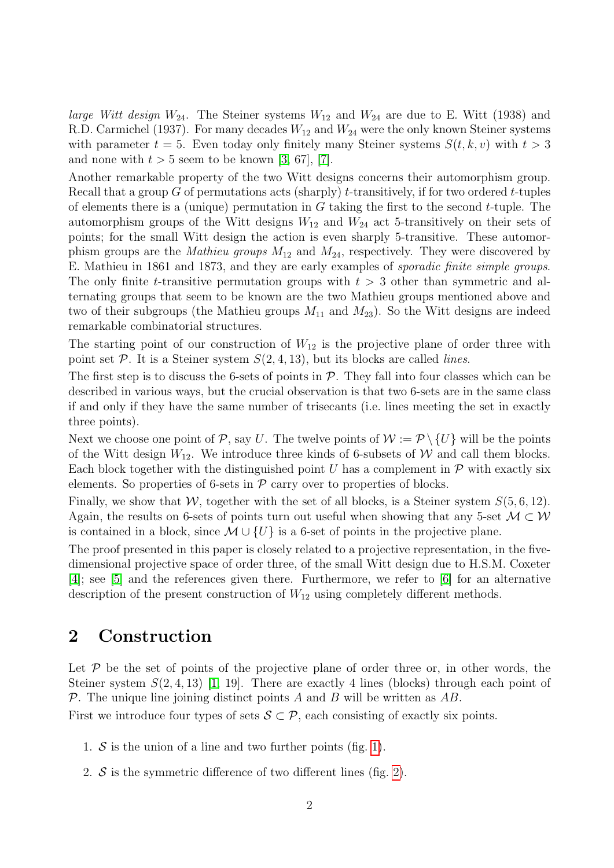*large Witt design*  $W_{24}$ . The Steiner systems  $W_{12}$  and  $W_{24}$  are due to E. Witt (1938) and R.D. Carmichel (1937). For many decades  $W_{12}$  and  $W_{24}$  were the only known Steiner systems with parameter  $t = 5$ . Even today only finitely many Steiner systems  $S(t, k, v)$  with  $t > 3$ and none with  $t > 5$  seem to be known [\[3,](#page-4-2) 67], [\[7\]](#page-4-3).

Another remarkable property of the two Witt designs concerns their automorphism group. Recall that a group G of permutations acts (sharply) t-transitively, if for two ordered t-tuples of elements there is a (unique) permutation in  $G$  taking the first to the second t-tuple. The automorphism groups of the Witt designs  $W_{12}$  and  $W_{24}$  act 5-transitively on their sets of points; for the small Witt design the action is even sharply 5-transitive. These automorphism groups are the *Mathieu groups*  $M_{12}$  and  $M_{24}$ , respectively. They were discovered by E. Mathieu in 1861 and 1873, and they are early examples of sporadic finite simple groups. The only finite t-transitive permutation groups with  $t > 3$  other than symmetric and alternating groups that seem to be known are the two Mathieu groups mentioned above and two of their subgroups (the Mathieu groups  $M_{11}$  and  $M_{23}$ ). So the Witt designs are indeed remarkable combinatorial structures.

The starting point of our construction of  $W_{12}$  is the projective plane of order three with point set  $P$ . It is a Steiner system  $S(2, 4, 13)$ , but its blocks are called *lines*.

The first step is to discuss the 6-sets of points in  $P$ . They fall into four classes which can be described in various ways, but the crucial observation is that two 6-sets are in the same class if and only if they have the same number of trisecants (i.e. lines meeting the set in exactly three points).

Next we choose one point of P, say U. The twelve points of  $W := \mathcal{P} \setminus \{U\}$  will be the points of the Witt design  $W_{12}$ . We introduce three kinds of 6-subsets of W and call them blocks. Each block together with the distinguished point U has a complement in  $\mathcal P$  with exactly six elements. So properties of 6-sets in  $P$  carry over to properties of blocks.

Finally, we show that W, together with the set of all blocks, is a Steiner system  $S(5,6,12)$ . Again, the results on 6-sets of points turn out useful when showing that any 5-set  $M \subset W$ is contained in a block, since  $\mathcal{M} \cup \{U\}$  is a 6-set of points in the projective plane.

The proof presented in this paper is closely related to a projective representation, in the fivedimensional projective space of order three, of the small Witt design due to H.S.M. Coxeter [\[4\]](#page-4-4); see [\[5\]](#page-4-5) and the references given there. Furthermore, we refer to [\[6\]](#page-4-6) for an alternative description of the present construction of  $W_{12}$  using completely different methods.

### 2 Construction

Let  $P$  be the set of points of the projective plane of order three or, in other words, the Steiner system  $S(2, 4, 13)$  [\[1,](#page-4-0) 19]. There are exactly 4 lines (blocks) through each point of  $\mathcal P$ . The unique line joining distinct points A and B will be written as AB.

First we introduce four types of sets  $S \subset \mathcal{P}$ , each consisting of exactly six points.

- 1.  $S$  is the union of a line and two further points (fig. [1\)](#page-2-0).
- 2.  $S$  is the symmetric difference of two different lines (fig. [2\)](#page-2-1).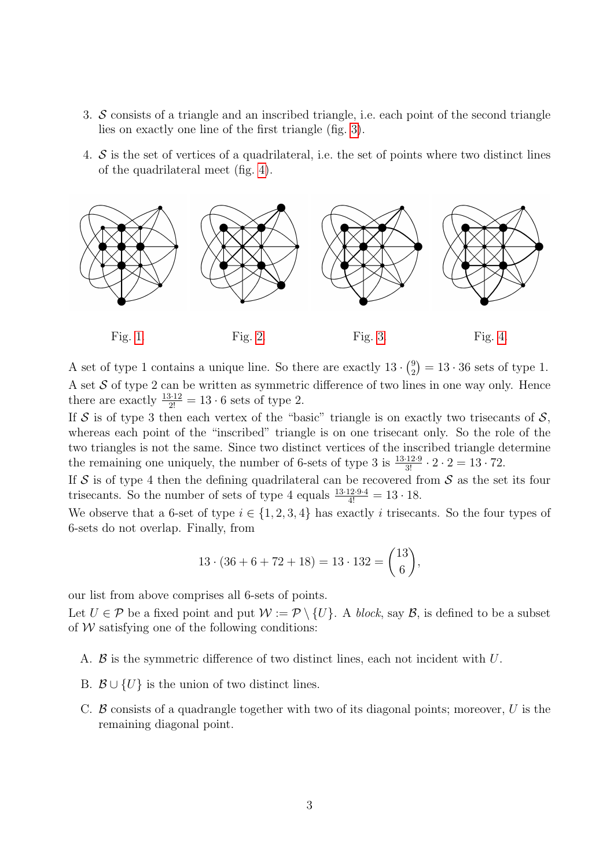- 3. S consists of a triangle and an inscribed triangle, i.e. each point of the second triangle lies on exactly one line of the first triangle (fig. [3\)](#page-2-2).
- 4.  $\mathcal S$  is the set of vertices of a quadrilateral, i.e. the set of points where two distinct lines of the quadrilateral meet (fig. [4\)](#page-2-3).



<span id="page-2-3"></span><span id="page-2-2"></span><span id="page-2-1"></span><span id="page-2-0"></span>

A set of type 1 contains a unique line. So there are exactly  $13 \cdot \binom{9}{2}$  $_{2}^{9}$ ) = 13 · 36 sets of type 1. A set  $S$  of type 2 can be written as symmetric difference of two lines in one way only. Hence there are exactly  $\frac{13 \cdot 12}{2!} = 13 \cdot 6$  sets of type 2.

If S is of type 3 then each vertex of the "basic" triangle is on exactly two trisecants of  $S$ , whereas each point of the "inscribed" triangle is on one trisecant only. So the role of the two triangles is not the same. Since two distinct vertices of the inscribed triangle determine the remaining one uniquely, the number of 6-sets of type 3 is  $\frac{13\cdot12\cdot9}{3!} \cdot 2 \cdot 2 = 13 \cdot 72$ .

If S is of type 4 then the defining quadrilateral can be recovered from S as the set its four trisecants. So the number of sets of type 4 equals  $\frac{13\cdot 12\cdot 9\cdot 4}{4!} = 13 \cdot 18$ .

We observe that a 6-set of type  $i \in \{1, 2, 3, 4\}$  has exactly i trisecants. So the four types of 6-sets do not overlap. Finally, from

$$
13 \cdot (36 + 6 + 72 + 18) = 13 \cdot 132 = \binom{13}{6},
$$

our list from above comprises all 6-sets of points.

Let  $U \in \mathcal{P}$  be a fixed point and put  $\mathcal{W} := \mathcal{P} \setminus \{U\}$ . A block, say  $\mathcal{B}$ , is defined to be a subset of  $W$  satisfying one of the following conditions:

- A.  $\beta$  is the symmetric difference of two distinct lines, each not incident with U.
- B.  $\mathcal{B} \cup \{U\}$  is the union of two distinct lines.
- C.  $\beta$  consists of a quadrangle together with two of its diagonal points; moreover, U is the remaining diagonal point.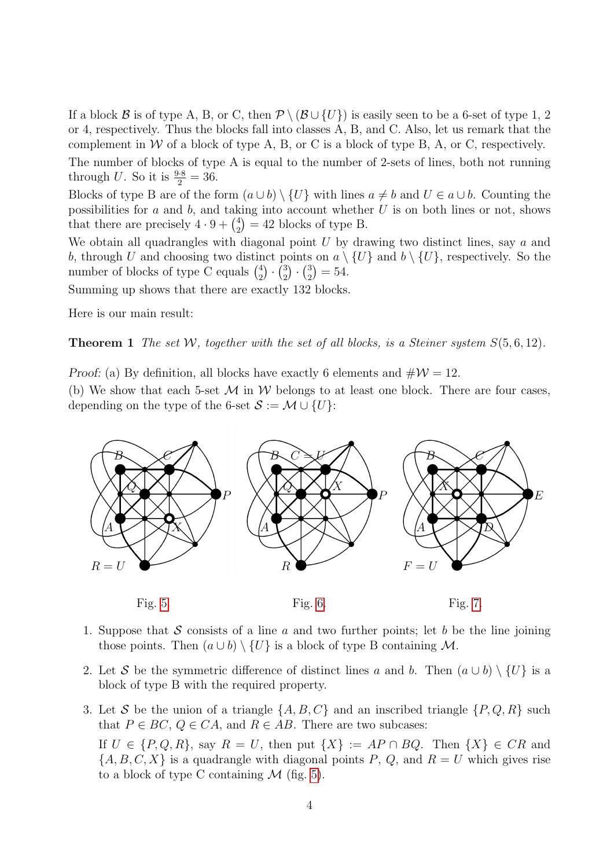If a block B is of type A, B, or C, then  $\mathcal{P} \setminus (\mathcal{B} \cup \{U\})$  is easily seen to be a 6-set of type 1, 2 or 4, respectively. Thus the blocks fall into classes A, B, and C. Also, let us remark that the complement in  $W$  of a block of type A, B, or C is a block of type B, A, or C, respectively.

The number of blocks of type A is equal to the number of 2-sets of lines, both not running through U. So it is  $\frac{9.8}{2} = 36$ .

Blocks of type B are of the form  $(a \cup b) \setminus \{U\}$  with lines  $a \neq b$  and  $U \in a \cup b$ . Counting the possibilities for a and b, and taking into account whether  $U$  is on both lines or not, shows that there are precisely  $4 \cdot 9 + \binom{4}{2}$  $_{2}^{4}$ ) = 42 blocks of type B.

We obtain all quadrangles with diagonal point  $U$  by drawing two distinct lines, say  $a$  and b, through U and choosing two distinct points on  $a \setminus \{U\}$  and  $b \setminus \{U\}$ , respectively. So the number of blocks of type C equals  $\binom{4}{2}$  $^{4}_{2}) \cdot (^{3}_{2})$  $\binom{3}{2} \cdot \binom{3}{2}$  $_{2}^{3})=54.$ 

Summing up shows that there are exactly 132 blocks.

Here is our main result:

**Theorem 1** The set W, together with the set of all blocks, is a Steiner system  $S(5,6,12)$ .

Proof: (a) By definition, all blocks have exactly 6 elements and  $\#\mathcal{W} = 12$ .

(b) We show that each 5-set  $\mathcal M$  in  $\mathcal W$  belongs to at least one block. There are four cases, depending on the type of the 6-set  $S := \mathcal{M} \cup \{U\}$ :



- <span id="page-3-2"></span><span id="page-3-1"></span><span id="page-3-0"></span>1. Suppose that S consists of a line a and two further points; let b be the line joining those points. Then  $(a \cup b) \setminus \{U\}$  is a block of type B containing M.
- 2. Let S be the symmetric difference of distinct lines a and b. Then  $(a \cup b) \setminus \{U\}$  is a block of type B with the required property.
- 3. Let S be the union of a triangle  $\{A, B, C\}$  and an inscribed triangle  $\{P, Q, R\}$  such that  $P \in BC$ ,  $Q \in CA$ , and  $R \in AB$ . There are two subcases:

If  $U \in \{P, Q, R\}$ , say  $R = U$ , then put  $\{X\} := AP \cap BQ$ . Then  $\{X\} \in CR$  and  ${A, B, C, X}$  is a quadrangle with diagonal points P, Q, and  $R = U$  which gives rise to a block of type C containing  $\mathcal M$  (fig. [5\)](#page-3-0).